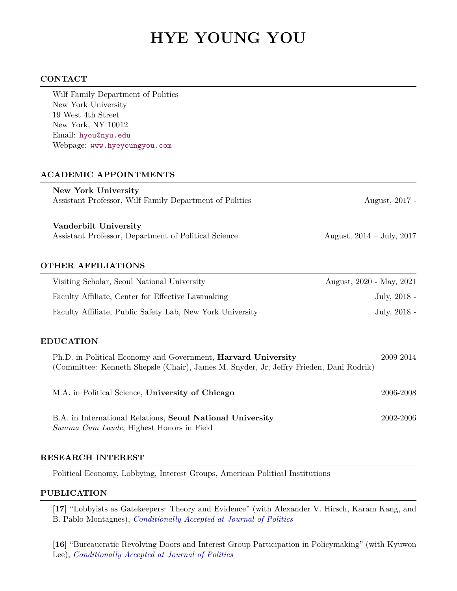# **HYE YOUNG YOU**

## **CONTACT**

| Wilf Family Department of Politics                                                                                                                      |                             |
|---------------------------------------------------------------------------------------------------------------------------------------------------------|-----------------------------|
| New York University<br>19 West 4th Street                                                                                                               |                             |
| New York, NY 10012                                                                                                                                      |                             |
| Email: hyou@nyu.edu                                                                                                                                     |                             |
| Webpage: www.hyeyoungyou.com                                                                                                                            |                             |
| <b>ACADEMIC APPOINTMENTS</b>                                                                                                                            |                             |
| New York University                                                                                                                                     |                             |
| Assistant Professor, Wilf Family Department of Politics                                                                                                 | August, 2017 -              |
| Vanderbilt University                                                                                                                                   |                             |
| Assistant Professor, Department of Political Science                                                                                                    | August, $2014 - July, 2017$ |
| <b>OTHER AFFILIATIONS</b>                                                                                                                               |                             |
| Visiting Scholar, Seoul National University                                                                                                             | August, 2020 - May, 2021    |
| Faculty Affiliate, Center for Effective Lawmaking                                                                                                       | July, 2018 -                |
| Faculty Affiliate, Public Safety Lab, New York University                                                                                               | July, 2018 -                |
| <b>EDUCATION</b>                                                                                                                                        |                             |
| Ph.D. in Political Economy and Government, Harvard University<br>(Committee: Kenneth Shepsle (Chair), James M. Snyder, Jr, Jeffry Frieden, Dani Rodrik) | 2009-2014                   |
| M.A. in Political Science, University of Chicago                                                                                                        | 2006-2008                   |
| B.A. in International Relations, Seoul National University<br>Summa Cum Laude, Highest Honors in Field                                                  | 2002-2006                   |

## **RESEARCH INTEREST**

Political Economy, Lobbying, Interest Groups, American Political Institutions

# **PUBLICATION**

**[17]** "Lobbyists as Gatekeepers: Theory and Evidence" (with Alexander V. Hirsch, Karam Kang, and B. Pablo Montagnes), *Conditionally Accepted at Journal of Politics*

**[16]** "Bureaucratic Revolving Doors and Interest Group Participation in Policymaking" (with Kyuwon Lee), *Conditionally Accepted at Journal of Politics*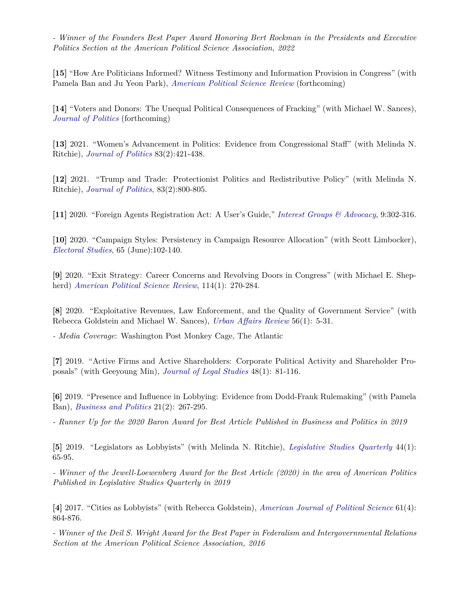*- Winner of the Founders Best Paper Award Honoring Bert Rockman in the Presidents and Executive Politics Section at the American Political Science Association, 2022*

**[15]** "How Are Politicians Informed? Witness Testimony and Information Provision in Congress" (with Pamela Ban and Ju Yeon Park), *American Political Science Review* (forthcoming)

**[14]** "Voters and Donors: The Unequal Political Consequences of Fracking" (with Michael W. Sances), *Journal of Politics* (forthcoming)

**[13]** 2021. "Women's Advancement in Politics: Evidence from Congressional Staff" (with Melinda N. Ritchie), *Journal of Politics* 83(2):421-438.

**[12]** 2021. "Trump and Trade: Protectionist Politics and Redistributive Policy" (with Melinda N. Ritchie), *Journal of Politics*, 83(2):800-805.

**[11]** 2020. "Foreign Agents Registration Act: A User's Guide," *Interest Groups & Advocacy*, 9:302-316.

**[10]** 2020. "Campaign Styles: Persistency in Campaign Resource Allocation" (with Scott Limbocker), *Electoral Studies*, 65 (June):102-140.

**[9]** 2020. "Exit Strategy: Career Concerns and Revolving Doors in Congress" (with Michael E. Shepherd) *American Political Science Review*, 114(1): 270-284.

**[8]** 2020. "Exploitative Revenues, Law Enforcement, and the Quality of Government Service" (with Rebecca Goldstein and Michael W. Sances), *Urban Affairs Review* 56(1): 5-31.

*- Media Coverage*: Washington Post Monkey Cage, The Atlantic

**[7]** 2019. "Active Firms and Active Shareholders: Corporate Political Activity and Shareholder Proposals" (with Geeyoung Min), *Journal of Legal Studies* 48(1): 81-116.

**[6]** 2019. "Presence and Influence in Lobbying: Evidence from Dodd-Frank Rulemaking" (with Pamela Ban), *Business and Politics* 21(2): 267-295.

*- Runner Up for the 2020 Baron Award for Best Article Published in Business and Politics in 2019*

**[5]** 2019. "Legislators as Lobbyists" (with Melinda N. Ritchie), *Legislative Studies Quarterly* 44(1): 65-95.

*- Winner of the Jewell-Loewenberg Award for the Best Article (2020) in the area of American Politics Published in Legislative Studies Quarterly in 2019*

**[4]** 2017. "Cities as Lobbyists" (with Rebecca Goldstein), *American Journal of Political Science* 61(4): 864-876.

*- Winner of the Deil S. Wright Award for the Best Paper in Federalism and Intergovernmental Relations Section at the American Political Science Association, 2016*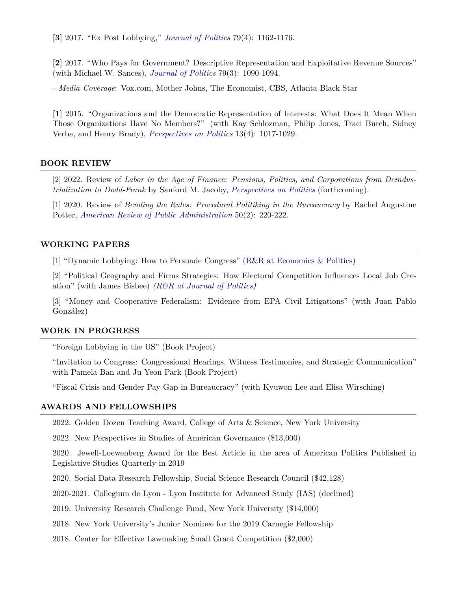**[3]** 2017. "Ex Post Lobbying," *Journal of Politics* 79(4): 1162-1176.

**[2]** 2017. "Who Pays for Government? Descriptive Representation and Exploitative Revenue Sources" (with Michael W. Sances), *Journal of Politics* 79(3): 1090-1094.

*- Media Coverage*: Vox.com, Mother Johns, The Economist, CBS, Atlanta Black Star

**[1]** 2015. "Organizations and the Democratic Representation of Interests: What Does It Mean When Those Organizations Have No Members?" (with Kay Schlozman, Philip Jones, Traci Burch, Sidney Verba, and Henry Brady), *Perspectives on Politics* 13(4): 1017-1029.

## **BOOK REVIEW**

[2] 2022. Review of *Labor in the Age of Finance: Pensions, Politics, and Corporations from Deindustrialization to Dodd-Frank* by Sanford M. Jacoby, *Perspectives on Politics* (forthcoming).

[1] 2020. Review of *Bending the Rules: Procedural Politiking in the Bureaucracy* by Rachel Augustine Potter, *American Review of Public Administration* 50(2): 220-222.

## **WORKING PAPERS**

[1] "Dynamic Lobbying: How to Persuade Congress" (R&R at Economics & Politics)

[2] "Political Geography and Firms Strategies: How Electoral Competition Influences Local Job Creation" (with James Bisbee) *(R&R at Journal of Politics)*

[3] "Money and Cooperative Federalism: Evidence from EPA Civil Litigations" (with Juan Pablo González)

#### **WORK IN PROGRESS**

"Foreign Lobbying in the US" (Book Project)

"Invitation to Congress: Congressional Hearings, Witness Testimonies, and Strategic Communication" with Pamela Ban and Ju Yeon Park (Book Project)

"Fiscal Crisis and Gender Pay Gap in Bureaucracy" (with Kyuwon Lee and Elisa Wirsching)

# **AWARDS AND FELLOWSHIPS**

2022. Golden Dozen Teaching Award, College of Arts & Science, New York University

2022. New Perspectives in Studies of American Governance (\$13,000)

2020. Jewell-Loewenberg Award for the Best Article in the area of American Politics Published in Legislative Studies Quarterly in 2019

2020. Social Data Research Fellowship, Social Science Research Council (\$42,128)

2020-2021. Collegium de Lyon - Lyon Institute for Advanced Study (IAS) (declined)

2019. University Research Challenge Fund, New York University (\$14,000)

2018. New York University's Junior Nominee for the 2019 Carnegie Fellowship

2018. Center for Effective Lawmaking Small Grant Competition (\$2,000)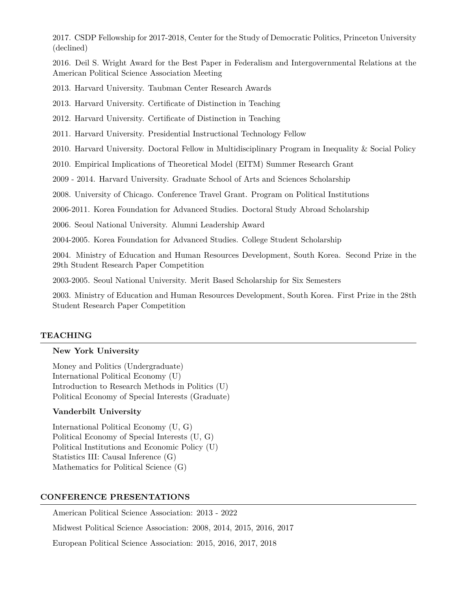2017. CSDP Fellowship for 2017-2018, Center for the Study of Democratic Politics, Princeton University (declined)

2016. Deil S. Wright Award for the Best Paper in Federalism and Intergovernmental Relations at the American Political Science Association Meeting

2013. Harvard University. Taubman Center Research Awards

2013. Harvard University. Certificate of Distinction in Teaching

2012. Harvard University. Certificate of Distinction in Teaching

2011. Harvard University. Presidential Instructional Technology Fellow

2010. Harvard University. Doctoral Fellow in Multidisciplinary Program in Inequality & Social Policy

2010. Empirical Implications of Theoretical Model (EITM) Summer Research Grant

2009 - 2014. Harvard University. Graduate School of Arts and Sciences Scholarship

2008. University of Chicago. Conference Travel Grant. Program on Political Institutions

2006-2011. Korea Foundation for Advanced Studies. Doctoral Study Abroad Scholarship

2006. Seoul National University. Alumni Leadership Award

2004-2005. Korea Foundation for Advanced Studies. College Student Scholarship

2004. Ministry of Education and Human Resources Development, South Korea. Second Prize in the 29th Student Research Paper Competition

2003-2005. Seoul National University. Merit Based Scholarship for Six Semesters

2003. Ministry of Education and Human Resources Development, South Korea. First Prize in the 28th Student Research Paper Competition

## **TEACHING**

## **New York University**

Money and Politics (Undergraduate) International Political Economy (U) Introduction to Research Methods in Politics (U) Political Economy of Special Interests (Graduate)

## **Vanderbilt University**

International Political Economy (U, G) Political Economy of Special Interests (U, G) Political Institutions and Economic Policy (U) Statistics III: Causal Inference (G) Mathematics for Political Science (G)

## **CONFERENCE PRESENTATIONS**

American Political Science Association: 2013 - 2022 Midwest Political Science Association: 2008, 2014, 2015, 2016, 2017 European Political Science Association: 2015, 2016, 2017, 2018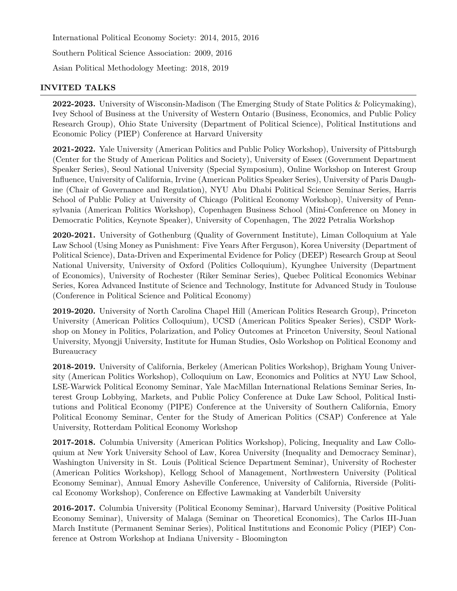International Political Economy Society: 2014, 2015, 2016

Southern Political Science Association: 2009, 2016

Asian Political Methodology Meeting: 2018, 2019

# **INVITED TALKS**

**2022-2023.** University of Wisconsin-Madison (The Emerging Study of State Politics & Policymaking), Ivey School of Business at the University of Western Ontario (Business, Economics, and Public Policy Research Group), Ohio State University (Department of Political Science), Political Institutions and Economic Policy (PIEP) Conference at Harvard University

**2021-2022.** Yale University (American Politics and Public Policy Workshop), University of Pittsburgh (Center for the Study of American Politics and Society), University of Essex (Government Department Speaker Series), Seoul National University (Special Symposium), Online Workshop on Interest Group Influence, University of California, Irvine (American Politics Speaker Series), University of Paris Daughine (Chair of Governance and Regulation), NYU Abu Dhabi Political Science Seminar Series, Harris School of Public Policy at University of Chicago (Political Economy Workshop), University of Pennsylvania (American Politics Workshop), Copenhagen Business School (Mini-Conference on Money in Democratic Politics, Keynote Speaker), University of Copenhagen, The 2022 Petralia Workshop

**2020-2021.** University of Gothenburg (Quality of Government Institute), Liman Colloquium at Yale Law School (Using Money as Punishment: Five Years After Ferguson), Korea University (Department of Political Science), Data-Driven and Experimental Evidence for Policy (DEEP) Research Group at Seoul National University, University of Oxford (Politics Colloquium), Kyunghee University (Department of Economics), University of Rochester (Riker Seminar Series), Quebec Political Economics Webinar Series, Korea Advanced Institute of Science and Technology, Institute for Advanced Study in Toulouse (Conference in Political Science and Political Economy)

**2019-2020.** University of North Carolina Chapel Hill (American Politics Research Group), Princeton University (American Politics Colloquium), UCSD (American Politics Speaker Series), CSDP Workshop on Money in Politics, Polarization, and Policy Outcomes at Princeton University, Seoul National University, Myongji University, Institute for Human Studies, Oslo Workshop on Political Economy and Bureaucracy

**2018-2019.** University of California, Berkeley (American Politics Workshop), Brigham Young University (American Politics Workshop), Colloquium on Law, Economics and Politics at NYU Law School, LSE-Warwick Political Economy Seminar, Yale MacMillan International Relations Seminar Series, Interest Group Lobbying, Markets, and Public Policy Conference at Duke Law School, Political Institutions and Political Economy (PIPE) Conference at the University of Southern California, Emory Political Economy Seminar, Center for the Study of American Politics (CSAP) Conference at Yale University, Rotterdam Political Economy Workshop

**2017-2018.** Columbia University (American Politics Workshop), Policing, Inequality and Law Colloquium at New York University School of Law, Korea University (Inequality and Democracy Seminar), Washington University in St. Louis (Political Science Department Seminar), University of Rochester (American Politics Workshop), Kellogg School of Management, Northwestern University (Political Economy Seminar), Annual Emory Asheville Conference, University of California, Riverside (Political Economy Workshop), Conference on Effective Lawmaking at Vanderbilt University

**2016-2017.** Columbia University (Political Economy Seminar), Harvard University (Positive Political Economy Seminar), University of Malaga (Seminar on Theoretical Economics), The Carlos III-Juan March Institute (Permanent Seminar Series), Political Institutions and Economic Policy (PIEP) Conference at Ostrom Workshop at Indiana University - Bloomington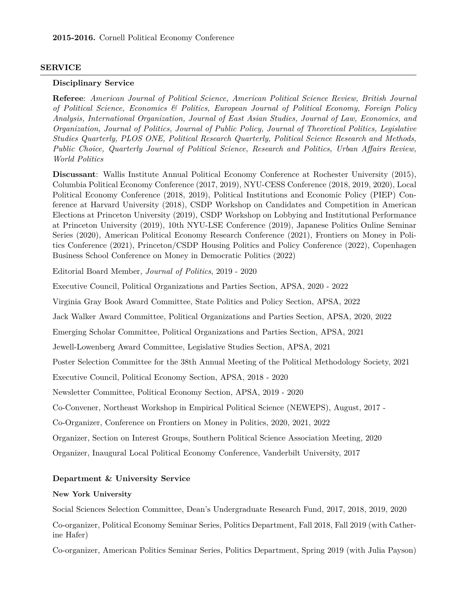## **SERVICE**

#### **Disciplinary Service**

**Referee**: *American Journal of Political Science, American Political Science Review, British Journal of Political Science, Economics & Politics, European Journal of Political Economy, Foreign Policy Analysis, International Organization, Journal of East Asian Studies, Journal of Law, Economics, and Organization, Journal of Politics, Journal of Public Policy, Journal of Theoretical Politics, Legislative Studies Quarterly, PLOS ONE, Political Research Quarterly, Political Science Research and Methods, Public Choice, Quarterly Journal of Political Science, Research and Politics, Urban Affairs Review, World Politics*

**Discussant**: Wallis Institute Annual Political Economy Conference at Rochester University (2015), Columbia Political Economy Conference (2017, 2019), NYU-CESS Conference (2018, 2019, 2020), Local Political Economy Conference (2018, 2019), Political Institutions and Economic Policy (PIEP) Conference at Harvard University (2018), CSDP Workshop on Candidates and Competition in American Elections at Princeton University (2019), CSDP Workshop on Lobbying and Institutional Performance at Princeton University (2019), 10th NYU-LSE Conference (2019), Japanese Politics Online Seminar Series (2020), American Political Economy Research Conference (2021), Frontiers on Money in Politics Conference (2021), Princeton/CSDP Housing Politics and Policy Conference (2022), Copenhagen Business School Conference on Money in Democratic Politics (2022)

Editorial Board Member, *Journal of Politics*, 2019 - 2020

Executive Council, Political Organizations and Parties Section, APSA, 2020 - 2022

Virginia Gray Book Award Committee, State Politics and Policy Section, APSA, 2022

Jack Walker Award Committee, Political Organizations and Parties Section, APSA, 2020, 2022

Emerging Scholar Committee, Political Organizations and Parties Section, APSA, 2021

Jewell-Lowenberg Award Committee, Legislative Studies Section, APSA, 2021

Poster Selection Committee for the 38th Annual Meeting of the Political Methodology Society, 2021

Executive Council, Political Economy Section, APSA, 2018 - 2020

Newsletter Committee, Political Economy Section, APSA, 2019 - 2020

Co-Convener, Northeast Workshop in Empirical Political Science (NEWEPS), August, 2017 -

Co-Organizer, Conference on Frontiers on Money in Politics, 2020, 2021, 2022

Organizer, Section on Interest Groups, Southern Political Science Association Meeting, 2020

Organizer, Inaugural Local Political Economy Conference, Vanderbilt University, 2017

#### **Department & University Service**

## **New York University**

Social Sciences Selection Committee, Dean's Undergraduate Research Fund, 2017, 2018, 2019, 2020

Co-organizer, Political Economy Seminar Series, Politics Department, Fall 2018, Fall 2019 (with Catherine Hafer)

Co-organizer, American Politics Seminar Series, Politics Department, Spring 2019 (with Julia Payson)